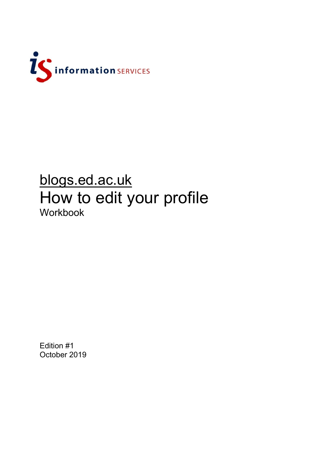

## blogs.ed.ac.uk How to edit your profile Workbook

Edition #1 October 2019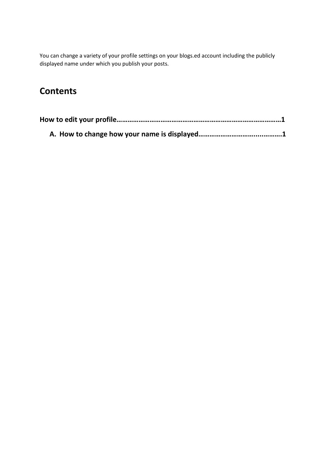You can change a variety of your profile settings on your blogs.ed account including the publicly displayed name under which you publish your posts.

## **Contents**